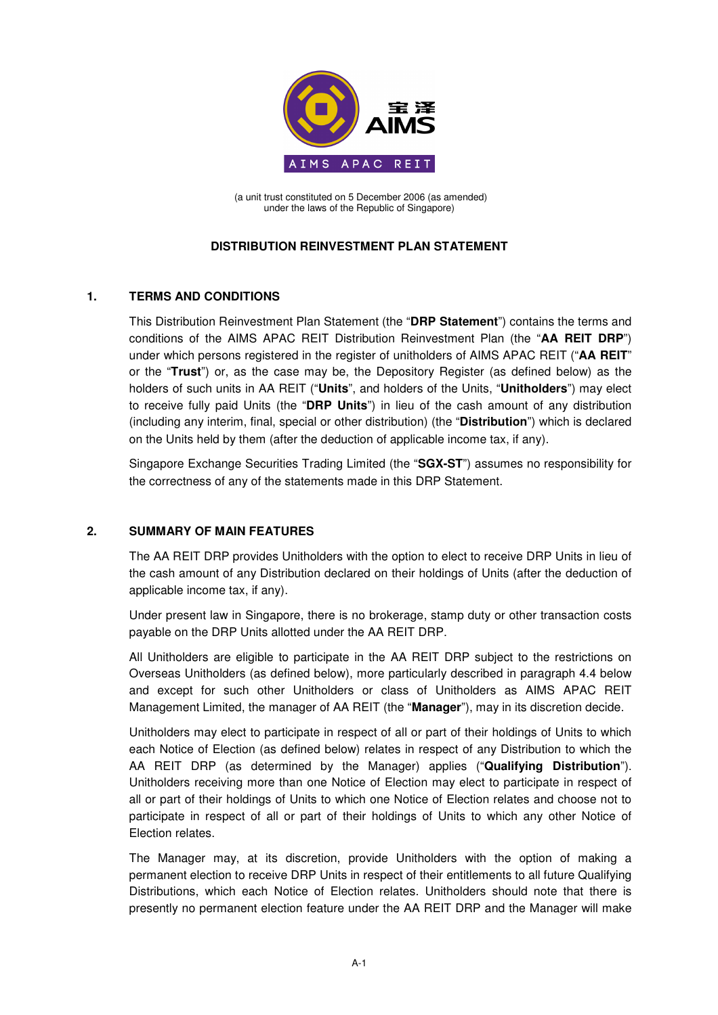

(a unit trust constituted on 5 December 2006 (as amended) under the laws of the Republic of Singapore)

# **DISTRIBUTION REINVESTMENT PLAN STATEMENT**

# **1. TERMS AND CONDITIONS**

This Distribution Reinvestment Plan Statement (the "**DRP Statement**") contains the terms and conditions of the AIMS APAC REIT Distribution Reinvestment Plan (the "**AA REIT DRP**") under which persons registered in the register of unitholders of AIMS APAC REIT ("**AA REIT**" or the "**Trust**") or, as the case may be, the Depository Register (as defined below) as the holders of such units in AA REIT ("**Units**", and holders of the Units, "**Unitholders**") may elect to receive fully paid Units (the "**DRP Units**") in lieu of the cash amount of any distribution (including any interim, final, special or other distribution) (the "**Distribution**") which is declared on the Units held by them (after the deduction of applicable income tax, if any).

Singapore Exchange Securities Trading Limited (the "**SGX-ST**") assumes no responsibility for the correctness of any of the statements made in this DRP Statement.

# **2. SUMMARY OF MAIN FEATURES**

The AA REIT DRP provides Unitholders with the option to elect to receive DRP Units in lieu of the cash amount of any Distribution declared on their holdings of Units (after the deduction of applicable income tax, if any).

Under present law in Singapore, there is no brokerage, stamp duty or other transaction costs payable on the DRP Units allotted under the AA REIT DRP.

All Unitholders are eligible to participate in the AA REIT DRP subject to the restrictions on Overseas Unitholders (as defined below), more particularly described in paragraph 4.4 below and except for such other Unitholders or class of Unitholders as AIMS APAC REIT Management Limited, the manager of AA REIT (the "**Manager**"), may in its discretion decide.

Unitholders may elect to participate in respect of all or part of their holdings of Units to which each Notice of Election (as defined below) relates in respect of any Distribution to which the AA REIT DRP (as determined by the Manager) applies ("**Qualifying Distribution**"). Unitholders receiving more than one Notice of Election may elect to participate in respect of all or part of their holdings of Units to which one Notice of Election relates and choose not to participate in respect of all or part of their holdings of Units to which any other Notice of Election relates.

The Manager may, at its discretion, provide Unitholders with the option of making a permanent election to receive DRP Units in respect of their entitlements to all future Qualifying Distributions, which each Notice of Election relates. Unitholders should note that there is presently no permanent election feature under the AA REIT DRP and the Manager will make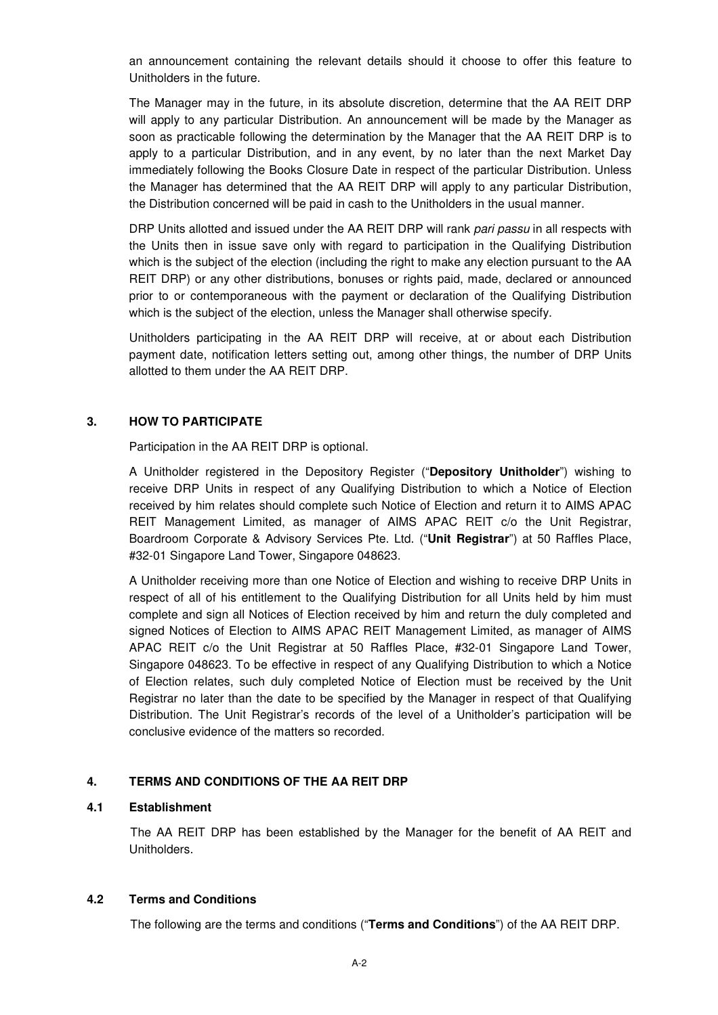an announcement containing the relevant details should it choose to offer this feature to Unitholders in the future.

The Manager may in the future, in its absolute discretion, determine that the AA REIT DRP will apply to any particular Distribution. An announcement will be made by the Manager as soon as practicable following the determination by the Manager that the AA REIT DRP is to apply to a particular Distribution, and in any event, by no later than the next Market Day immediately following the Books Closure Date in respect of the particular Distribution. Unless the Manager has determined that the AA REIT DRP will apply to any particular Distribution, the Distribution concerned will be paid in cash to the Unitholders in the usual manner.

DRP Units allotted and issued under the AA REIT DRP will rank pari passu in all respects with the Units then in issue save only with regard to participation in the Qualifying Distribution which is the subject of the election (including the right to make any election pursuant to the AA REIT DRP) or any other distributions, bonuses or rights paid, made, declared or announced prior to or contemporaneous with the payment or declaration of the Qualifying Distribution which is the subject of the election, unless the Manager shall otherwise specify.

Unitholders participating in the AA REIT DRP will receive, at or about each Distribution payment date, notification letters setting out, among other things, the number of DRP Units allotted to them under the AA REIT DRP.

#### **3. HOW TO PARTICIPATE**

Participation in the AA REIT DRP is optional.

A Unitholder registered in the Depository Register ("**Depository Unitholder**") wishing to receive DRP Units in respect of any Qualifying Distribution to which a Notice of Election received by him relates should complete such Notice of Election and return it to AIMS APAC REIT Management Limited, as manager of AIMS APAC REIT c/o the Unit Registrar, Boardroom Corporate & Advisory Services Pte. Ltd. ("**Unit Registrar**") at 50 Raffles Place, #32-01 Singapore Land Tower, Singapore 048623.

A Unitholder receiving more than one Notice of Election and wishing to receive DRP Units in respect of all of his entitlement to the Qualifying Distribution for all Units held by him must complete and sign all Notices of Election received by him and return the duly completed and signed Notices of Election to AIMS APAC REIT Management Limited, as manager of AIMS APAC REIT c/o the Unit Registrar at 50 Raffles Place, #32-01 Singapore Land Tower, Singapore 048623. To be effective in respect of any Qualifying Distribution to which a Notice of Election relates, such duly completed Notice of Election must be received by the Unit Registrar no later than the date to be specified by the Manager in respect of that Qualifying Distribution. The Unit Registrar's records of the level of a Unitholder's participation will be conclusive evidence of the matters so recorded.

### **4. TERMS AND CONDITIONS OF THE AA REIT DRP**

### **4.1 Establishment**

 The AA REIT DRP has been established by the Manager for the benefit of AA REIT and Unitholders.

#### **4.2 Terms and Conditions**

The following are the terms and conditions ("**Terms and Conditions**") of the AA REIT DRP.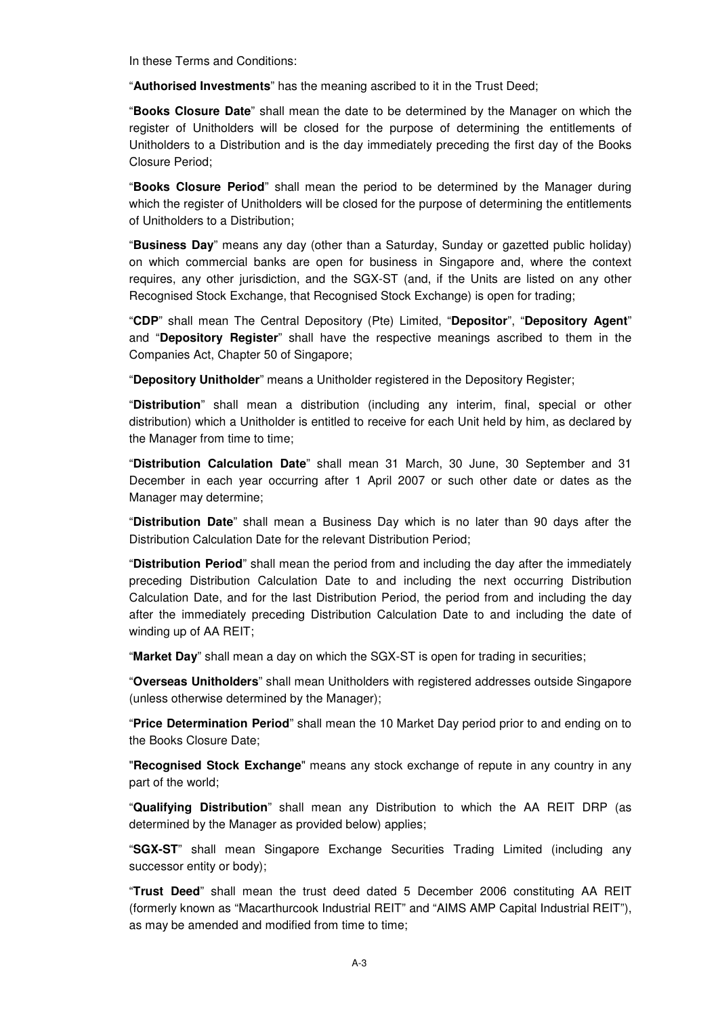In these Terms and Conditions:

"**Authorised Investments**" has the meaning ascribed to it in the Trust Deed;

"**Books Closure Date**" shall mean the date to be determined by the Manager on which the register of Unitholders will be closed for the purpose of determining the entitlements of Unitholders to a Distribution and is the day immediately preceding the first day of the Books Closure Period;

"**Books Closure Period**" shall mean the period to be determined by the Manager during which the register of Unitholders will be closed for the purpose of determining the entitlements of Unitholders to a Distribution;

"**Business Day**" means any day (other than a Saturday, Sunday or gazetted public holiday) on which commercial banks are open for business in Singapore and, where the context requires, any other jurisdiction, and the SGX-ST (and, if the Units are listed on any other Recognised Stock Exchange, that Recognised Stock Exchange) is open for trading;

"**CDP**" shall mean The Central Depository (Pte) Limited, "**Depositor**", "**Depository Agent**" and "**Depository Register**" shall have the respective meanings ascribed to them in the Companies Act, Chapter 50 of Singapore;

"**Depository Unitholder**" means a Unitholder registered in the Depository Register;

"**Distribution**" shall mean a distribution (including any interim, final, special or other distribution) which a Unitholder is entitled to receive for each Unit held by him, as declared by the Manager from time to time;

"**Distribution Calculation Date**" shall mean 31 March, 30 June, 30 September and 31 December in each year occurring after 1 April 2007 or such other date or dates as the Manager may determine;

"**Distribution Date**" shall mean a Business Day which is no later than 90 days after the Distribution Calculation Date for the relevant Distribution Period;

"**Distribution Period**" shall mean the period from and including the day after the immediately preceding Distribution Calculation Date to and including the next occurring Distribution Calculation Date, and for the last Distribution Period, the period from and including the day after the immediately preceding Distribution Calculation Date to and including the date of winding up of AA REIT;

"**Market Day**" shall mean a day on which the SGX-ST is open for trading in securities;

"**Overseas Unitholders**" shall mean Unitholders with registered addresses outside Singapore (unless otherwise determined by the Manager);

"**Price Determination Period**" shall mean the 10 Market Day period prior to and ending on to the Books Closure Date;

"**Recognised Stock Exchange**" means any stock exchange of repute in any country in any part of the world;

"**Qualifying Distribution**" shall mean any Distribution to which the AA REIT DRP (as determined by the Manager as provided below) applies;

"**SGX-ST**" shall mean Singapore Exchange Securities Trading Limited (including any successor entity or body);

"**Trust Deed**" shall mean the trust deed dated 5 December 2006 constituting AA REIT (formerly known as "Macarthurcook Industrial REIT" and "AIMS AMP Capital Industrial REIT"), as may be amended and modified from time to time;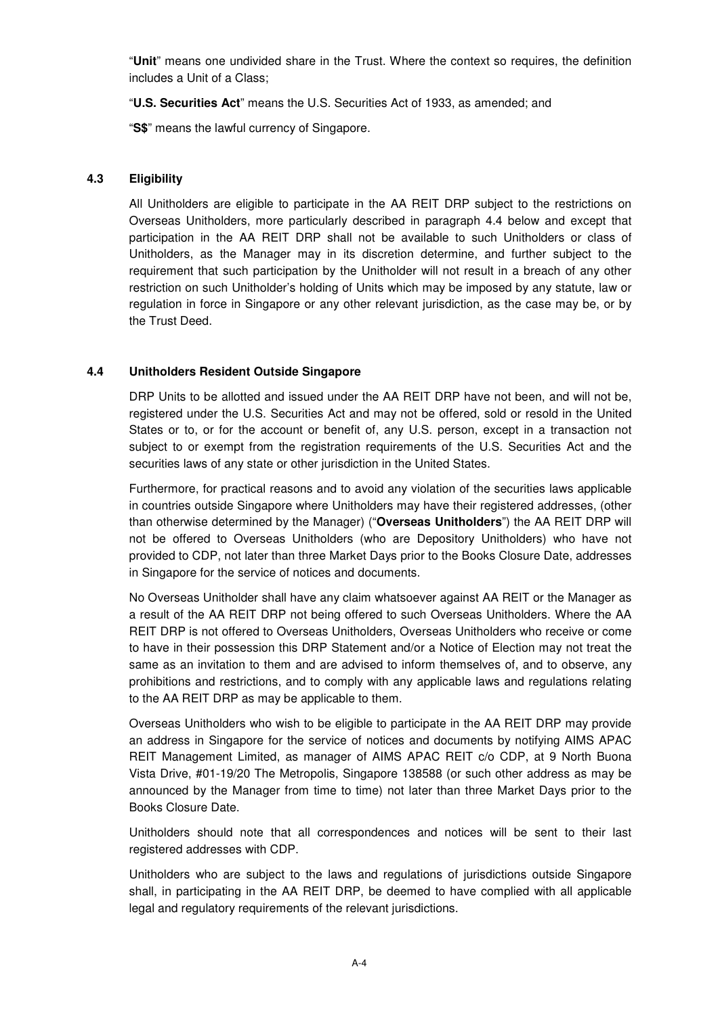"**Unit**" means one undivided share in the Trust. Where the context so requires, the definition includes a Unit of a Class;

"**U.S. Securities Act**" means the U.S. Securities Act of 1933, as amended; and

"**S\$**" means the lawful currency of Singapore.

# **4.3 Eligibility**

All Unitholders are eligible to participate in the AA REIT DRP subject to the restrictions on Overseas Unitholders, more particularly described in paragraph 4.4 below and except that participation in the AA REIT DRP shall not be available to such Unitholders or class of Unitholders, as the Manager may in its discretion determine, and further subject to the requirement that such participation by the Unitholder will not result in a breach of any other restriction on such Unitholder's holding of Units which may be imposed by any statute, law or regulation in force in Singapore or any other relevant jurisdiction, as the case may be, or by the Trust Deed.

# **4.4 Unitholders Resident Outside Singapore**

DRP Units to be allotted and issued under the AA REIT DRP have not been, and will not be, registered under the U.S. Securities Act and may not be offered, sold or resold in the United States or to, or for the account or benefit of, any U.S. person, except in a transaction not subject to or exempt from the registration requirements of the U.S. Securities Act and the securities laws of any state or other jurisdiction in the United States.

Furthermore, for practical reasons and to avoid any violation of the securities laws applicable in countries outside Singapore where Unitholders may have their registered addresses, (other than otherwise determined by the Manager) ("**Overseas Unitholders**") the AA REIT DRP will not be offered to Overseas Unitholders (who are Depository Unitholders) who have not provided to CDP, not later than three Market Days prior to the Books Closure Date, addresses in Singapore for the service of notices and documents.

No Overseas Unitholder shall have any claim whatsoever against AA REIT or the Manager as a result of the AA REIT DRP not being offered to such Overseas Unitholders. Where the AA REIT DRP is not offered to Overseas Unitholders, Overseas Unitholders who receive or come to have in their possession this DRP Statement and/or a Notice of Election may not treat the same as an invitation to them and are advised to inform themselves of, and to observe, any prohibitions and restrictions, and to comply with any applicable laws and regulations relating to the AA REIT DRP as may be applicable to them.

Overseas Unitholders who wish to be eligible to participate in the AA REIT DRP may provide an address in Singapore for the service of notices and documents by notifying AIMS APAC REIT Management Limited, as manager of AIMS APAC REIT c/o CDP, at 9 North Buona Vista Drive, #01-19/20 The Metropolis, Singapore 138588 (or such other address as may be announced by the Manager from time to time) not later than three Market Days prior to the Books Closure Date.

Unitholders should note that all correspondences and notices will be sent to their last registered addresses with CDP.

Unitholders who are subject to the laws and regulations of jurisdictions outside Singapore shall, in participating in the AA REIT DRP, be deemed to have complied with all applicable legal and regulatory requirements of the relevant jurisdictions.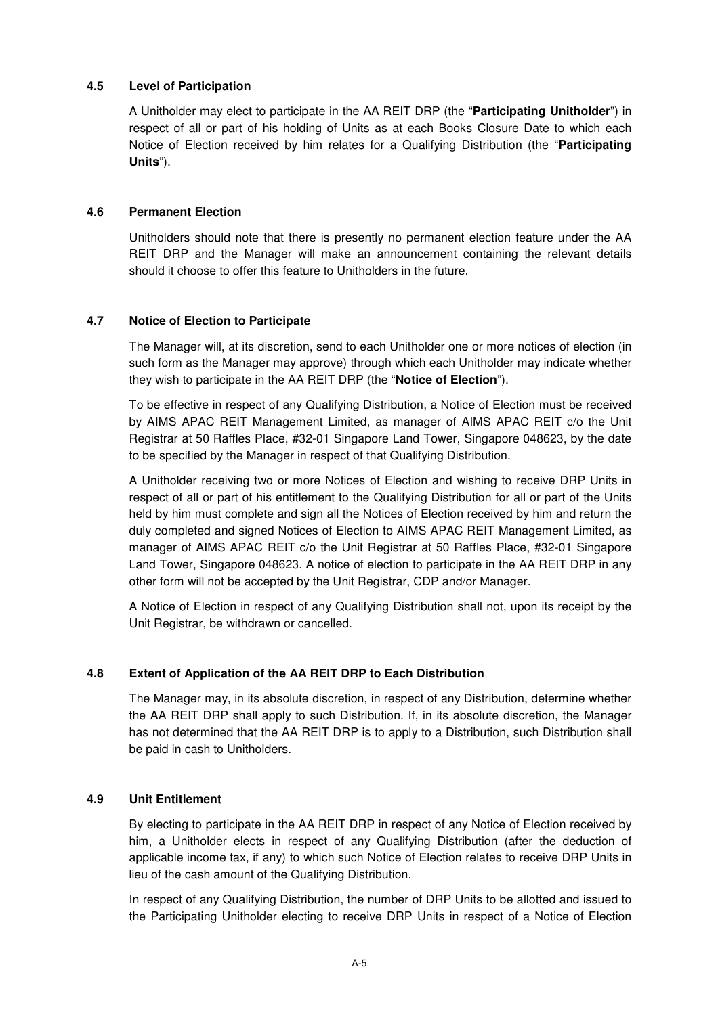# **4.5 Level of Participation**

A Unitholder may elect to participate in the AA REIT DRP (the "**Participating Unitholder**") in respect of all or part of his holding of Units as at each Books Closure Date to which each Notice of Election received by him relates for a Qualifying Distribution (the "**Participating Units**").

### **4.6 Permanent Election**

Unitholders should note that there is presently no permanent election feature under the AA REIT DRP and the Manager will make an announcement containing the relevant details should it choose to offer this feature to Unitholders in the future.

# **4.7 Notice of Election to Participate**

The Manager will, at its discretion, send to each Unitholder one or more notices of election (in such form as the Manager may approve) through which each Unitholder may indicate whether they wish to participate in the AA REIT DRP (the "**Notice of Election**").

To be effective in respect of any Qualifying Distribution, a Notice of Election must be received by AIMS APAC REIT Management Limited, as manager of AIMS APAC REIT c/o the Unit Registrar at 50 Raffles Place, #32-01 Singapore Land Tower, Singapore 048623, by the date to be specified by the Manager in respect of that Qualifying Distribution.

A Unitholder receiving two or more Notices of Election and wishing to receive DRP Units in respect of all or part of his entitlement to the Qualifying Distribution for all or part of the Units held by him must complete and sign all the Notices of Election received by him and return the duly completed and signed Notices of Election to AIMS APAC REIT Management Limited, as manager of AIMS APAC REIT c/o the Unit Registrar at 50 Raffles Place, #32-01 Singapore Land Tower, Singapore 048623. A notice of election to participate in the AA REIT DRP in any other form will not be accepted by the Unit Registrar, CDP and/or Manager.

A Notice of Election in respect of any Qualifying Distribution shall not, upon its receipt by the Unit Registrar, be withdrawn or cancelled.

# **4.8 Extent of Application of the AA REIT DRP to Each Distribution**

The Manager may, in its absolute discretion, in respect of any Distribution, determine whether the AA REIT DRP shall apply to such Distribution. If, in its absolute discretion, the Manager has not determined that the AA REIT DRP is to apply to a Distribution, such Distribution shall be paid in cash to Unitholders.

### **4.9 Unit Entitlement**

By electing to participate in the AA REIT DRP in respect of any Notice of Election received by him, a Unitholder elects in respect of any Qualifying Distribution (after the deduction of applicable income tax, if any) to which such Notice of Election relates to receive DRP Units in lieu of the cash amount of the Qualifying Distribution.

In respect of any Qualifying Distribution, the number of DRP Units to be allotted and issued to the Participating Unitholder electing to receive DRP Units in respect of a Notice of Election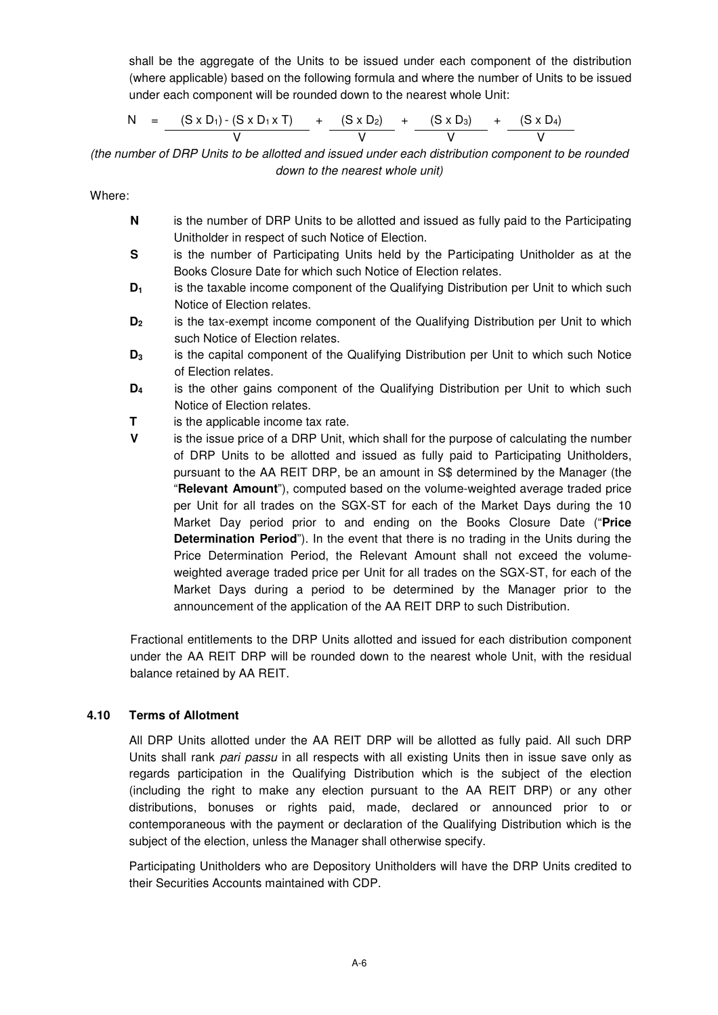shall be the aggregate of the Units to be issued under each component of the distribution (where applicable) based on the following formula and where the number of Units to be issued under each component will be rounded down to the nearest whole Unit:

$$
N = \frac{(S \times D_1) - (S \times D_1 \times T)}{V} + \frac{(S \times D_2)}{V} + \frac{(S \times D_3)}{V} + \frac{(S \times D_4)}{V}
$$

(the number of DRP Units to be allotted and issued under each distribution component to be rounded down to the nearest whole unit)

Where:

- **N** is the number of DRP Units to be allotted and issued as fully paid to the Participating Unitholder in respect of such Notice of Election.
- **S** is the number of Participating Units held by the Participating Unitholder as at the Books Closure Date for which such Notice of Election relates.
- **D1** is the taxable income component of the Qualifying Distribution per Unit to which such Notice of Election relates.
- **D2** is the tax-exempt income component of the Qualifying Distribution per Unit to which such Notice of Election relates.
- **D3** is the capital component of the Qualifying Distribution per Unit to which such Notice of Election relates.
- **D4** is the other gains component of the Qualifying Distribution per Unit to which such Notice of Election relates.
- **T** is the applicable income tax rate.
- **V** is the issue price of a DRP Unit, which shall for the purpose of calculating the number of DRP Units to be allotted and issued as fully paid to Participating Unitholders, pursuant to the AA REIT DRP, be an amount in S\$ determined by the Manager (the "**Relevant Amount**"), computed based on the volume-weighted average traded price per Unit for all trades on the SGX-ST for each of the Market Days during the 10 Market Day period prior to and ending on the Books Closure Date ("**Price Determination Period**"). In the event that there is no trading in the Units during the Price Determination Period, the Relevant Amount shall not exceed the volumeweighted average traded price per Unit for all trades on the SGX-ST, for each of the Market Days during a period to be determined by the Manager prior to the announcement of the application of the AA REIT DRP to such Distribution.

Fractional entitlements to the DRP Units allotted and issued for each distribution component under the AA REIT DRP will be rounded down to the nearest whole Unit, with the residual balance retained by AA REIT.

### **4.10 Terms of Allotment**

All DRP Units allotted under the AA REIT DRP will be allotted as fully paid. All such DRP Units shall rank pari passu in all respects with all existing Units then in issue save only as regards participation in the Qualifying Distribution which is the subject of the election (including the right to make any election pursuant to the AA REIT DRP) or any other distributions, bonuses or rights paid, made, declared or announced prior to or contemporaneous with the payment or declaration of the Qualifying Distribution which is the subject of the election, unless the Manager shall otherwise specify.

Participating Unitholders who are Depository Unitholders will have the DRP Units credited to their Securities Accounts maintained with CDP.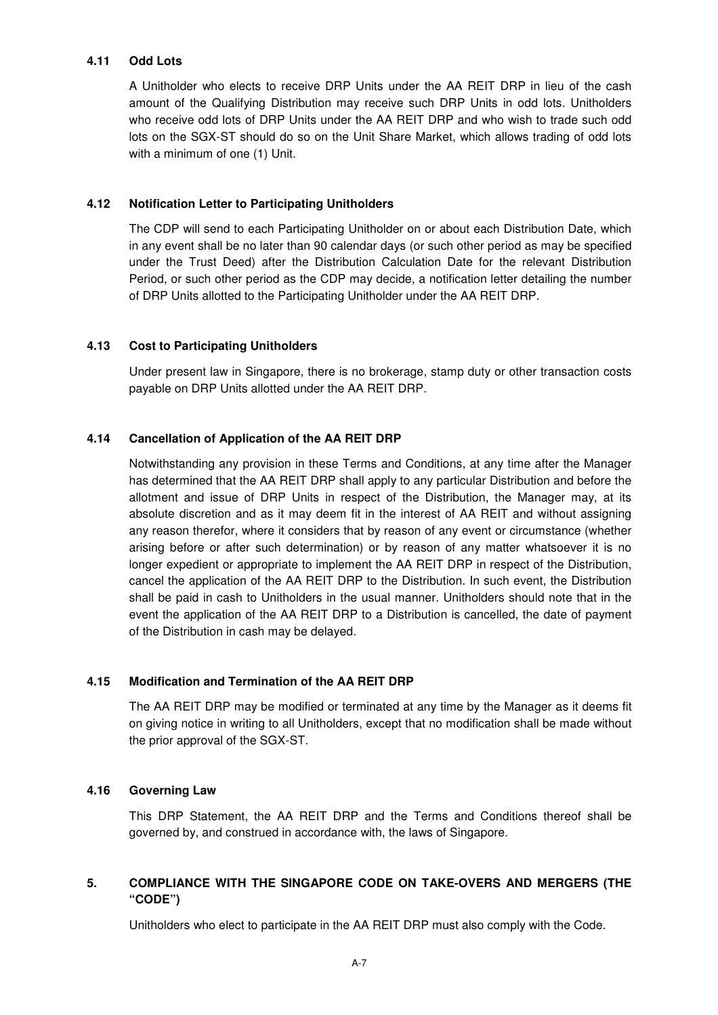### **4.11 Odd Lots**

A Unitholder who elects to receive DRP Units under the AA REIT DRP in lieu of the cash amount of the Qualifying Distribution may receive such DRP Units in odd lots. Unitholders who receive odd lots of DRP Units under the AA REIT DRP and who wish to trade such odd lots on the SGX-ST should do so on the Unit Share Market, which allows trading of odd lots with a minimum of one (1) Unit.

### **4.12 Notification Letter to Participating Unitholders**

The CDP will send to each Participating Unitholder on or about each Distribution Date, which in any event shall be no later than 90 calendar days (or such other period as may be specified under the Trust Deed) after the Distribution Calculation Date for the relevant Distribution Period, or such other period as the CDP may decide, a notification letter detailing the number of DRP Units allotted to the Participating Unitholder under the AA REIT DRP.

### **4.13 Cost to Participating Unitholders**

Under present law in Singapore, there is no brokerage, stamp duty or other transaction costs payable on DRP Units allotted under the AA REIT DRP.

#### **4.14 Cancellation of Application of the AA REIT DRP**

Notwithstanding any provision in these Terms and Conditions, at any time after the Manager has determined that the AA REIT DRP shall apply to any particular Distribution and before the allotment and issue of DRP Units in respect of the Distribution, the Manager may, at its absolute discretion and as it may deem fit in the interest of AA REIT and without assigning any reason therefor, where it considers that by reason of any event or circumstance (whether arising before or after such determination) or by reason of any matter whatsoever it is no longer expedient or appropriate to implement the AA REIT DRP in respect of the Distribution, cancel the application of the AA REIT DRP to the Distribution. In such event, the Distribution shall be paid in cash to Unitholders in the usual manner. Unitholders should note that in the event the application of the AA REIT DRP to a Distribution is cancelled, the date of payment of the Distribution in cash may be delayed.

### **4.15 Modification and Termination of the AA REIT DRP**

The AA REIT DRP may be modified or terminated at any time by the Manager as it deems fit on giving notice in writing to all Unitholders, except that no modification shall be made without the prior approval of the SGX-ST.

#### **4.16 Governing Law**

This DRP Statement, the AA REIT DRP and the Terms and Conditions thereof shall be governed by, and construed in accordance with, the laws of Singapore.

# **5. COMPLIANCE WITH THE SINGAPORE CODE ON TAKE-OVERS AND MERGERS (THE "CODE")**

Unitholders who elect to participate in the AA REIT DRP must also comply with the Code.